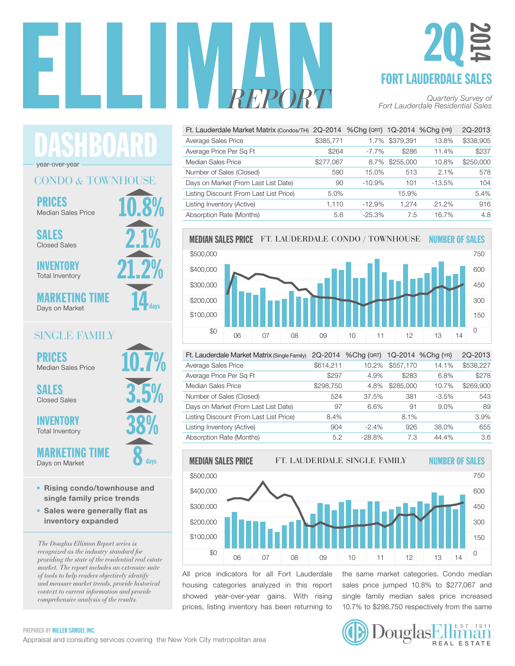

### FORT LAUDERDALE SALES 2Q 2014

| Ft. Lauderdale Market Matrix (Condos/TH) 2Q-2014 %Chg (QRT) |           |          |           | 1Q-2014 %Cha (YR) | 2Q-2013   |
|-------------------------------------------------------------|-----------|----------|-----------|-------------------|-----------|
| Average Sales Price                                         | \$385,771 | 1.7%     | \$379.391 | 13.8%             | \$338,905 |
| Average Price Per Sq Ft                                     | \$264     | $-7.7\%$ | \$286     | 11.4%             | \$237     |
| Median Sales Price                                          | \$277,067 | 8.7%     | \$255,000 | 10.8%             | \$250,000 |
| Number of Sales (Closed)                                    | 590       | 15.0%    | 513       | 2.1%              | 578       |
| Days on Market (From Last List Date)                        | 90        | $-10.9%$ | 101       | $-13.5%$          | 104       |
| Listing Discount (From Last List Price)                     | 5.0%      |          | 15.9%     |                   | 5.4%      |
| Listing Inventory (Active)                                  | 1.110     | $-12.9%$ | 1.274     | 21.2%             | 916       |
| Absorption Rate (Months)                                    | 5.6       | $-25.3%$ | 7.5       | 16.7%             | 4.8       |



| Ft. Lauderdale Market Matrix (Single Family) | 2Q-2014   | $%$ Cha ( $QRT$ ) |           | 1Q-2014 %Chg (YR) | 2Q-2013   |
|----------------------------------------------|-----------|-------------------|-----------|-------------------|-----------|
| Average Sales Price                          | \$614,211 | 10.2%             | \$557,170 | 14.1%             | \$538,227 |
| Average Price Per Sq Ft                      | \$297     | 4.9%              | \$283     | 6.8%              | \$278     |
| Median Sales Price                           | \$298,750 | 4.8%              | \$285,000 | 10.7%             | \$269,900 |
| Number of Sales (Closed)                     | 524       | 37.5%             | 381       | $-3.5\%$          | 543       |
| Days on Market (From Last List Date)         | 97        | 6.6%              | 91        | 9.0%              | 89        |
| Listing Discount (From Last List Price)      | 8.4%      |                   | 8.1%      |                   | 3.9%      |
| Listing Inventory (Active)                   | 904       | $-2.4%$           | 926       | 38.0%             | 655       |
| Absorption Rate (Months)                     | 5.2       | $-28.8%$          | 7.3       | 44.4%             | 3.6       |



All price indicators for all Fort Lauderdale housing categories analyzed in this report showed year-over-year gains. With rising prices, listing inventory has been returning to the same market categories. Condo median sales price jumped 10.8% to \$277,067 and single family median sales price increased 10.7% to \$298,750 respectively from the same 40

# 80

PREPARED BY MILLER SAMUEL INC.

10.8% CONDO *&* TOWNHOUSE PRICES

HBOAR

Median Sales Price

SALES Closed Sales

year-over-year

INVENTORY Total Inventory

MARKETING TIME Days on Market

#### SINGLE FAMILY

10.7%

3.5%

38%

8

days

21.2%

14

days

2.1%

PRICES Median Sales Price

SALES Closed Sales

INVENTORY Total Inventory

**MARKETING** 

Days on Market

- Rising condo/townhouse and single family price trends
- Sales were generally flat as inventory expanded

*The Douglas Elliman Report series is recognized as the industry standard for providing the state of the residential real estate market. The report includes an extensive suite of tools to help readers objectively identify and measure market trends, provide historical context to current information and provide comprehensive analysis of the results.*